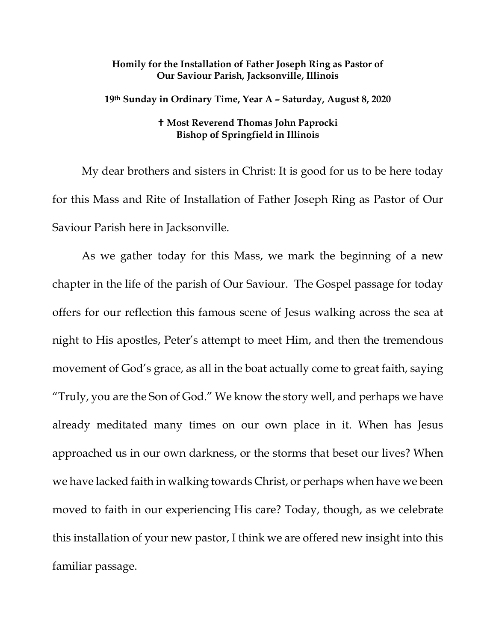## **Homily for the Installation of Father Joseph Ring as Pastor of Our Saviour Parish, Jacksonville, Illinois**

**19th Sunday in Ordinary Time, Year A – Saturday, August 8, 2020**

## **Most Reverend Thomas John Paprocki Bishop of Springfield in Illinois**

My dear brothers and sisters in Christ: It is good for us to be here today for this Mass and Rite of Installation of Father Joseph Ring as Pastor of Our Saviour Parish here in Jacksonville.

As we gather today for this Mass, we mark the beginning of a new chapter in the life of the parish of Our Saviour. The Gospel passage for today offers for our reflection this famous scene of Jesus walking across the sea at night to His apostles, Peter's attempt to meet Him, and then the tremendous movement of God's grace, as all in the boat actually come to great faith, saying "Truly, you are the Son of God." We know the story well, and perhaps we have already meditated many times on our own place in it. When has Jesus approached us in our own darkness, or the storms that beset our lives? When we have lacked faith in walking towards Christ, or perhaps when have we been moved to faith in our experiencing His care? Today, though, as we celebrate this installation of your new pastor, I think we are offered new insight into this familiar passage.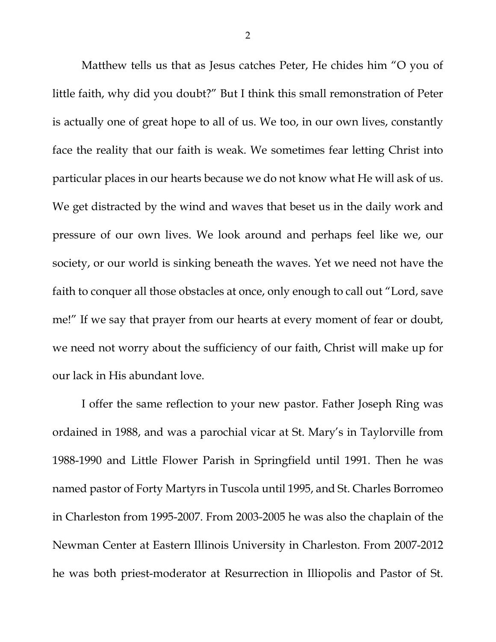Matthew tells us that as Jesus catches Peter, He chides him "O you of little faith, why did you doubt?" But I think this small remonstration of Peter is actually one of great hope to all of us. We too, in our own lives, constantly face the reality that our faith is weak. We sometimes fear letting Christ into particular places in our hearts because we do not know what He will ask of us. We get distracted by the wind and waves that beset us in the daily work and pressure of our own lives. We look around and perhaps feel like we, our society, or our world is sinking beneath the waves. Yet we need not have the faith to conquer all those obstacles at once, only enough to call out "Lord, save me!" If we say that prayer from our hearts at every moment of fear or doubt, we need not worry about the sufficiency of our faith, Christ will make up for our lack in His abundant love.

I offer the same reflection to your new pastor. Father Joseph Ring was ordained in 1988, and was a parochial vicar at St. Mary's in Taylorville from 1988-1990 and Little Flower Parish in Springfield until 1991. Then he was named pastor of Forty Martyrs in Tuscola until 1995, and St. Charles Borromeo in Charleston from 1995-2007. From 2003-2005 he was also the chaplain of the Newman Center at Eastern Illinois University in Charleston. From 2007-2012 he was both priest-moderator at Resurrection in Illiopolis and Pastor of St.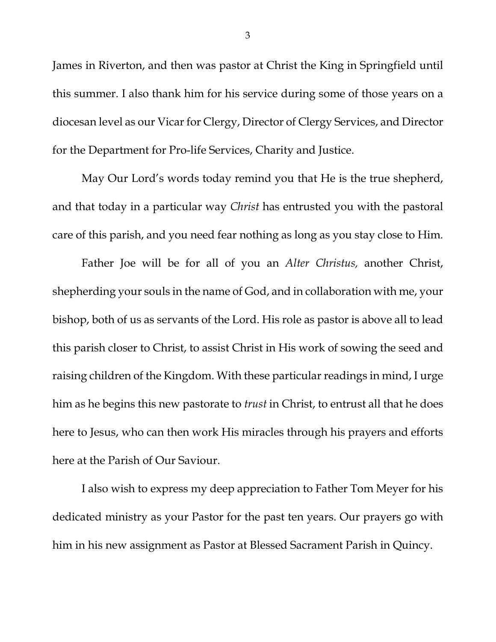James in Riverton, and then was pastor at Christ the King in Springfield until this summer. I also thank him for his service during some of those years on a diocesan level as our Vicar for Clergy, Director of Clergy Services, and Director for the Department for Pro-life Services, Charity and Justice.

May Our Lord's words today remind you that He is the true shepherd, and that today in a particular way *Christ* has entrusted you with the pastoral care of this parish, and you need fear nothing as long as you stay close to Him*.* 

Father Joe will be for all of you an *Alter Christus,* another Christ, shepherding your souls in the name of God, and in collaboration with me, your bishop, both of us as servants of the Lord. His role as pastor is above all to lead this parish closer to Christ, to assist Christ in His work of sowing the seed and raising children of the Kingdom. With these particular readings in mind, I urge him as he begins this new pastorate to *trust* in Christ, to entrust all that he does here to Jesus, who can then work His miracles through his prayers and efforts here at the Parish of Our Saviour.

I also wish to express my deep appreciation to Father Tom Meyer for his dedicated ministry as your Pastor for the past ten years. Our prayers go with him in his new assignment as Pastor at Blessed Sacrament Parish in Quincy.

3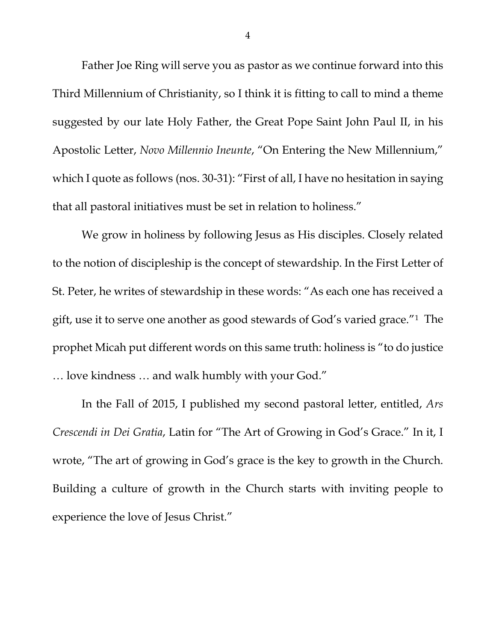Father Joe Ring will serve you as pastor as we continue forward into this Third Millennium of Christianity, so I think it is fitting to call to mind a theme suggested by our late Holy Father, the Great Pope Saint John Paul II, in his Apostolic Letter, *Novo Millennio Ineunte*, "On Entering the New Millennium," which I quote as follows (nos. 30-31): "First of all, I have no hesitation in saying that all pastoral initiatives must be set in relation to holiness."

We grow in holiness by following Jesus as His disciples. Closely related to the notion of discipleship is the concept of stewardship. In the First Letter of St. Peter, he writes of stewardship in these words: "As each one has received a gift, use it to serve one another as good stewards of God's varied grace."[1](#page-6-0) The prophet Micah put different words on this same truth: holiness is "to do justice … love kindness … and walk humbly with your God."

In the Fall of 2015, I published my second pastoral letter, entitled, *Ars Crescendi in Dei Gratia*, Latin for "The Art of Growing in God's Grace." In it, I wrote, "The art of growing in God's grace is the key to growth in the Church. Building a culture of growth in the Church starts with inviting people to experience the love of Jesus Christ."

4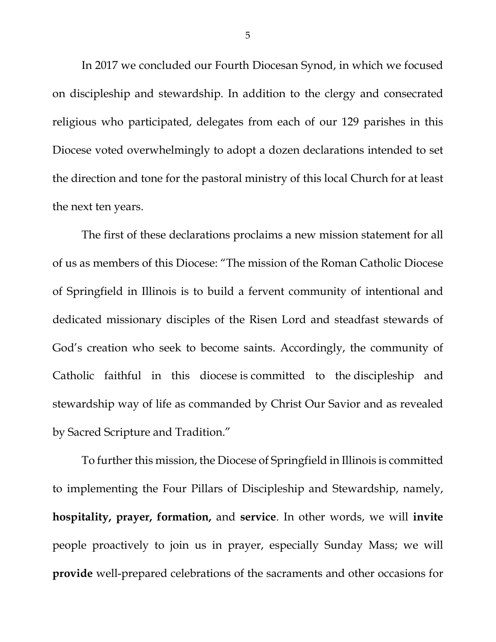In 2017 we concluded our Fourth Diocesan Synod, in which we focused on discipleship and stewardship. In addition to the clergy and consecrated religious who participated, delegates from each of our 129 parishes in this Diocese voted overwhelmingly to adopt a dozen declarations intended to set the direction and tone for the pastoral ministry of this local Church for at least the next ten years.

The first of these declarations proclaims a new mission statement for all of us as members of this Diocese: "The mission of the Roman Catholic Diocese of Springfield in Illinois is to build a fervent community of intentional and dedicated missionary disciples of the Risen Lord and steadfast stewards of God's creation who seek to become saints. Accordingly, the community of Catholic faithful in this diocese is committed to the discipleship and stewardship way of life as commanded by Christ Our Savior and as revealed by Sacred Scripture and Tradition."

To further this mission, the Diocese of Springfield in Illinois is committed to implementing the Four Pillars of Discipleship and Stewardship, namely, **hospitality, prayer, formation,** and **service**. In other words, we will **invite** people proactively to join us in prayer, especially Sunday Mass; we will **provide** well-prepared celebrations of the sacraments and other occasions for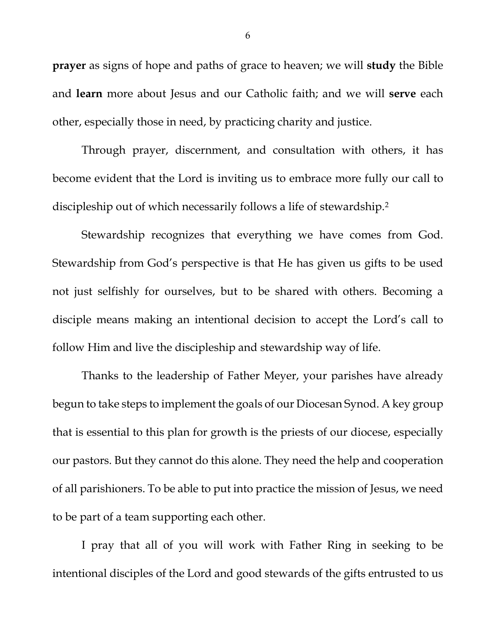**prayer** as signs of hope and paths of grace to heaven; we will **study** the Bible and **learn** more about Jesus and our Catholic faith; and we will **serve** each other, especially those in need, by practicing charity and justice.

Through prayer, discernment, and consultation with others, it has become evident that the Lord is inviting us to embrace more fully our call to discipleship out of which necessarily follows a life of stewardship[.2](#page-6-1)

Stewardship recognizes that everything we have comes from God. Stewardship from God's perspective is that He has given us gifts to be used not just selfishly for ourselves, but to be shared with others. Becoming a disciple means making an intentional decision to accept the Lord's call to follow Him and live the discipleship and stewardship way of life.

Thanks to the leadership of Father Meyer, your parishes have already begun to take steps to implement the goals of our Diocesan Synod. A key group that is essential to this plan for growth is the priests of our diocese, especially our pastors. But they cannot do this alone. They need the help and cooperation of all parishioners. To be able to put into practice the mission of Jesus, we need to be part of a team supporting each other.

I pray that all of you will work with Father Ring in seeking to be intentional disciples of the Lord and good stewards of the gifts entrusted to us

6